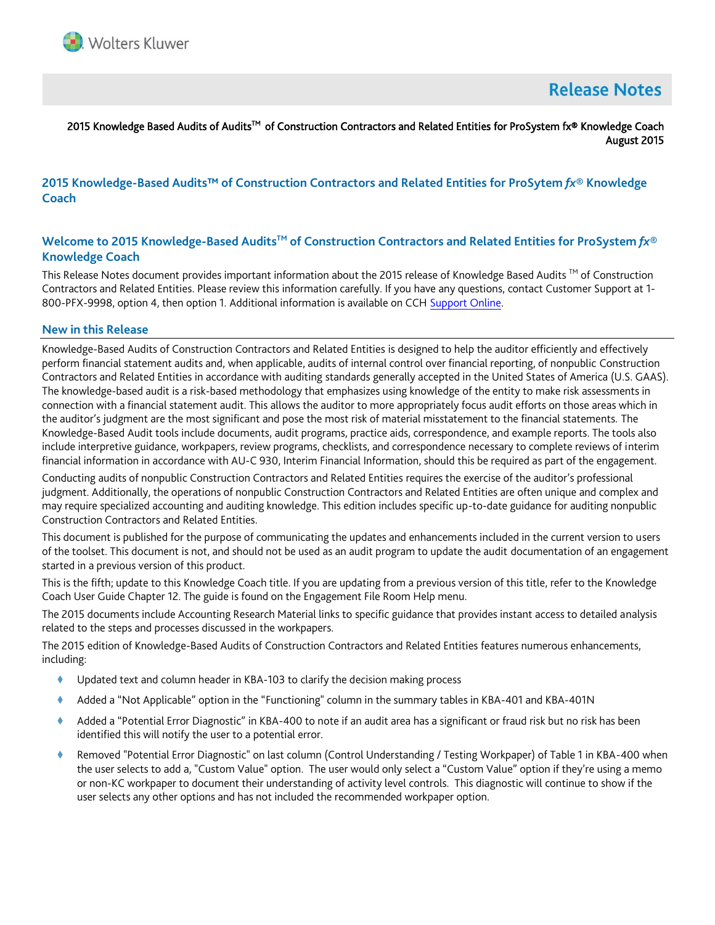

# **Release Notes**

### 2015 Knowledge Based Audits of Audits™ of Construction Contractors and Related Entities for ProSystem fx® Knowledge Coach August 2015

# **2015 Knowledge-Based Audits™ of Construction Contractors and Related Entities for ProSytem** *fx***® Knowledge Coach**

# **Welcome to 2015 Knowledge-Based AuditsTM of Construction Contractors and Related Entities for ProSystem** *fx***® Knowledge Coach**

This Release Notes document provides important information about the 2015 release of Knowledge Based Audits  $\text{Im}$  of Construction Contractors and Related Entities. Please review this information carefully. If you have any questions, contact Customer Support at 1- 800-PFX-9998, option 4, then option 1. Additional information is available on CCH [Support Online.](http://support.cch.com/productsupport/)

### **New in this Release**

Knowledge-Based Audits of Construction Contractors and Related Entities is designed to help the auditor efficiently and effectively perform financial statement audits and, when applicable, audits of internal control over financial reporting, of nonpublic Construction Contractors and Related Entities in accordance with auditing standards generally accepted in the United States of America (U.S. GAAS). The knowledge-based audit is a risk-based methodology that emphasizes using knowledge of the entity to make risk assessments in connection with a financial statement audit. This allows the auditor to more appropriately focus audit efforts on those areas which in the auditor's judgment are the most significant and pose the most risk of material misstatement to the financial statements. The Knowledge-Based Audit tools include documents, audit programs, practice aids, correspondence, and example reports. The tools also include interpretive guidance, workpapers, review programs, checklists, and correspondence necessary to complete reviews of interim financial information in accordance with AU-C 930, Interim Financial Information, should this be required as part of the engagement.

Conducting audits of nonpublic Construction Contractors and Related Entities requires the exercise of the auditor's professional judgment. Additionally, the operations of nonpublic Construction Contractors and Related Entities are often unique and complex and may require specialized accounting and auditing knowledge. This edition includes specific up-to-date guidance for auditing nonpublic Construction Contractors and Related Entities.

This document is published for the purpose of communicating the updates and enhancements included in the current version to users of the toolset. This document is not, and should not be used as an audit program to update the audit documentation of an engagement started in a previous version of this product.

This is the fifth; update to this Knowledge Coach title. If you are updating from a previous version of this title, refer to the Knowledge Coach User Guide Chapter 12. The guide is found on the Engagement File Room Help menu.

The 2015 documents include Accounting Research Material links to specific guidance that provides instant access to detailed analysis related to the steps and processes discussed in the workpapers.

The 2015 edition of Knowledge-Based Audits of Construction Contractors and Related Entities features numerous enhancements, including:

- ◆ Updated text and column header in KBA-103 to clarify the decision making process
- Added a "Not Applicable" option in the "Functioning" column in the summary tables in KBA-401 and KBA-401N
- Added a "Potential Error Diagnostic" in KBA-400 to note if an audit area has a significant or fraud risk but no risk has been identified this will notify the user to a potential error.
- Removed "Potential Error Diagnostic" on last column (Control Understanding / Testing Workpaper) of Table 1 in KBA-400 when the user selects to add a, "Custom Value" option. The user would only select a "Custom Value" option if they're using a memo or non-KC workpaper to document their understanding of activity level controls. This diagnostic will continue to show if the user selects any other options and has not included the recommended workpaper option.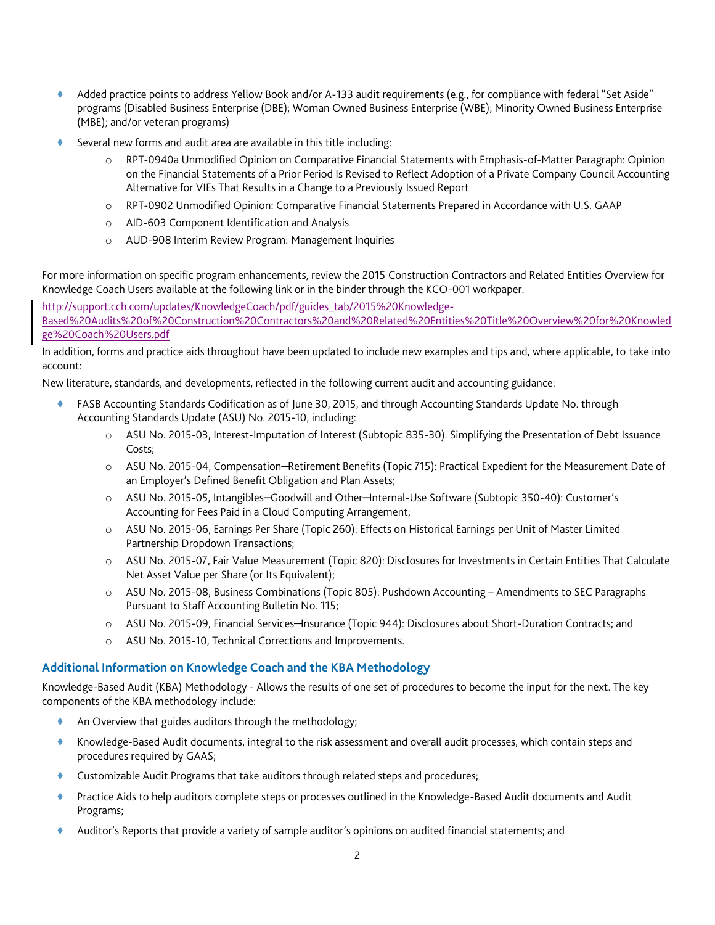- Added practice points to address Yellow Book and/or A-133 audit requirements (e.g., for compliance with federal "Set Aside" programs (Disabled Business Enterprise (DBE); Woman Owned Business Enterprise (WBE); Minority Owned Business Enterprise (MBE); and/or veteran programs)
- Several new forms and audit area are available in this title including:
	- RPT-0940a Unmodified Opinion on Comparative Financial Statements with Emphasis-of-Matter Paragraph: Opinion on the Financial Statements of a Prior Period Is Revised to Reflect Adoption of a Private Company Council Accounting Alternative for VIEs That Results in a Change to a Previously Issued Report
	- o RPT-0902 Unmodified Opinion: Comparative Financial Statements Prepared in Accordance with U.S. GAAP
	- o AID-603 Component Identification and Analysis
	- o AUD-908 Interim Review Program: Management Inquiries

For more information on specific program enhancements, review the 2015 Construction Contractors and Related Entities Overview for Knowledge Coach Users available at the following link or in the binder through the KCO-001 workpaper.

http://support.cch.com/updates/KnowledgeCoach/pdf/guides\_tab/2015%20Knowledge-Based%20Audits%20of%20Construction%20Contractors%20and%20Related%20Entities%20Title%20Overview%20for%20Knowled ge%20Coach%20Users.pdf

In addition, forms and practice aids throughout have been updated to include new examples and tips and, where applicable, to take into account:

New literature, standards, and developments, reflected in the following current audit and accounting guidance:

- FASB Accounting Standards Codification as of June 30, 2015, and through Accounting Standards Update No. through Accounting Standards Update (ASU) No. 2015-10, including:
	- o ASU No. 2015-03, Interest-Imputation of Interest (Subtopic 835-30): Simplifying the Presentation of Debt Issuance Costs;
	- o ASU No. 2015-04, Compensation─Retirement Benefits (Topic 715): Practical Expedient for the Measurement Date of an Employer's Defined Benefit Obligation and Plan Assets;
	- o ASU No. 2015-05, Intangibles─Goodwill and Other─Internal-Use Software (Subtopic 350-40): Customer's Accounting for Fees Paid in a Cloud Computing Arrangement;
	- o ASU No. 2015-06, Earnings Per Share (Topic 260): Effects on Historical Earnings per Unit of Master Limited Partnership Dropdown Transactions;
	- o ASU No. 2015-07, Fair Value Measurement (Topic 820): Disclosures for Investments in Certain Entities That Calculate Net Asset Value per Share (or Its Equivalent);
	- o ASU No. 2015-08, Business Combinations (Topic 805): Pushdown Accounting Amendments to SEC Paragraphs Pursuant to Staff Accounting Bulletin No. 115;
	- o ASU No. 2015-09, Financial Services─Insurance (Topic 944): Disclosures about Short-Duration Contracts; and
	- o ASU No. 2015-10, Technical Corrections and Improvements.

## **Additional Information on Knowledge Coach and the KBA Methodology**

Knowledge-Based Audit (KBA) Methodology - Allows the results of one set of procedures to become the input for the next. The key components of the KBA methodology include:

- An Overview that guides auditors through the methodology;
- Knowledge-Based Audit documents, integral to the risk assessment and overall audit processes, which contain steps and procedures required by GAAS;
- Customizable Audit Programs that take auditors through related steps and procedures;
- Practice Aids to help auditors complete steps or processes outlined in the Knowledge-Based Audit documents and Audit Programs;
- Auditor's Reports that provide a variety of sample auditor's opinions on audited financial statements; and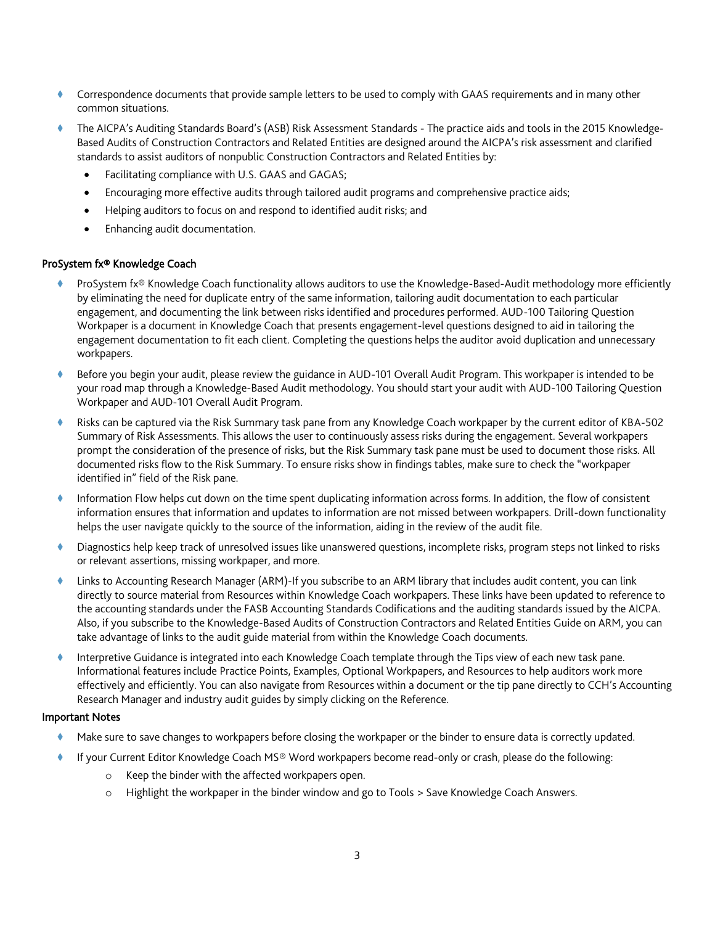- Correspondence documents that provide sample letters to be used to comply with GAAS requirements and in many other common situations.
- The AICPA's Auditing Standards Board's (ASB) Risk Assessment Standards The practice aids and tools in the 2015 Knowledge-Based Audits of Construction Contractors and Related Entities are designed around the AICPA's risk assessment and clarified standards to assist auditors of nonpublic Construction Contractors and Related Entities by:
	- Facilitating compliance with U.S. GAAS and GAGAS;
	- Encouraging more effective audits through tailored audit programs and comprehensive practice aids;
	- Helping auditors to focus on and respond to identified audit risks; and
	- Enhancing audit documentation.

#### ProSystem fx® Knowledge Coach

- ProSystem fx® Knowledge Coach functionality allows auditors to use the Knowledge-Based-Audit methodology more efficiently by eliminating the need for duplicate entry of the same information, tailoring audit documentation to each particular engagement, and documenting the link between risks identified and procedures performed. AUD-100 Tailoring Question Workpaper is a document in Knowledge Coach that presents engagement-level questions designed to aid in tailoring the engagement documentation to fit each client. Completing the questions helps the auditor avoid duplication and unnecessary workpapers.
- Before you begin your audit, please review the guidance in AUD-101 Overall Audit Program. This workpaper is intended to be your road map through a Knowledge-Based Audit methodology. You should start your audit with AUD-100 Tailoring Question Workpaper and AUD-101 Overall Audit Program.
- Risks can be captured via the Risk Summary task pane from any Knowledge Coach workpaper by the current editor of KBA-502 Summary of Risk Assessments. This allows the user to continuously assess risks during the engagement. Several workpapers prompt the consideration of the presence of risks, but the Risk Summary task pane must be used to document those risks. All documented risks flow to the Risk Summary. To ensure risks show in findings tables, make sure to check the "workpaper identified in" field of the Risk pane.
- Information Flow helps cut down on the time spent duplicating information across forms. In addition, the flow of consistent information ensures that information and updates to information are not missed between workpapers. Drill-down functionality helps the user navigate quickly to the source of the information, aiding in the review of the audit file.
- Diagnostics help keep track of unresolved issues like unanswered questions, incomplete risks, program steps not linked to risks or relevant assertions, missing workpaper, and more.
- Links to Accounting Research Manager (ARM)-If you subscribe to an ARM library that includes audit content, you can link directly to source material from Resources within Knowledge Coach workpapers. These links have been updated to reference to the accounting standards under the FASB Accounting Standards Codifications and the auditing standards issued by the AICPA. Also, if you subscribe to the Knowledge-Based Audits of Construction Contractors and Related Entities Guide on ARM, you can take advantage of links to the audit guide material from within the Knowledge Coach documents.
- Interpretive Guidance is integrated into each Knowledge Coach template through the Tips view of each new task pane. Informational features include Practice Points, Examples, Optional Workpapers, and Resources to help auditors work more effectively and efficiently. You can also navigate from Resources within a document or the tip pane directly to CCH's Accounting Research Manager and industry audit guides by simply clicking on the Reference.

### Important Notes

- Make sure to save changes to workpapers before closing the workpaper or the binder to ensure data is correctly updated.
- If your Current Editor Knowledge Coach MS® Word workpapers become read-only or crash, please do the following:
	- o Keep the binder with the affected workpapers open.
	- o Highlight the workpaper in the binder window and go to Tools > Save Knowledge Coach Answers.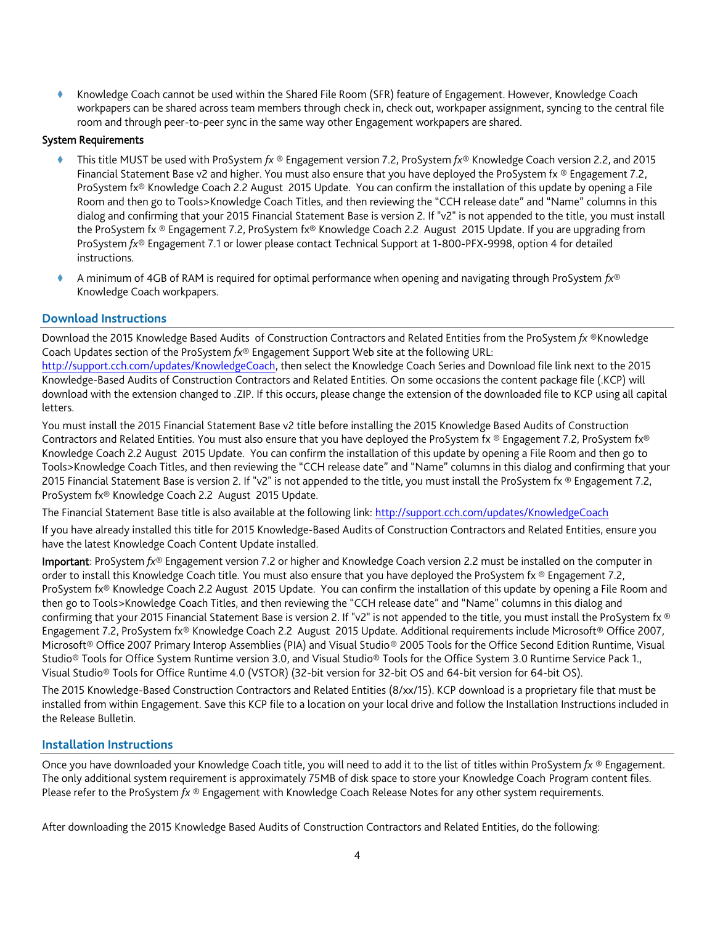Knowledge Coach cannot be used within the Shared File Room (SFR) feature of Engagement. However, Knowledge Coach workpapers can be shared across team members through check in, check out, workpaper assignment, syncing to the central file room and through peer-to-peer sync in the same way other Engagement workpapers are shared.

### System Requirements

- This title MUST be used with ProSystem *fx* ® Engagement version 7.2, ProSystem *fx*® Knowledge Coach version 2.2, and 2015 Financial Statement Base v2 and higher. You must also ensure that you have deployed the ProSystem fx ® Engagement 7.2, ProSystem fx® Knowledge Coach 2.2 August 2015 Update. You can confirm the installation of this update by opening a File Room and then go to Tools>Knowledge Coach Titles, and then reviewing the "CCH release date" and "Name" columns in this dialog and confirming that your 2015 Financial Statement Base is version 2. If "v2" is not appended to the title, you must install the ProSystem fx ® Engagement 7.2, ProSystem fx® Knowledge Coach 2.2 August 2015 Update. If you are upgrading from ProSystem *fx*® Engagement 7.1 or lower please contact Technical Support at 1-800-PFX-9998, option 4 for detailed instructions.
- A minimum of 4GB of RAM is required for optimal performance when opening and navigating through ProSystem *fx*® Knowledge Coach workpapers.

### **Download Instructions**

Download the 2015 Knowledge Based Audits of Construction Contractors and Related Entities from the ProSystem *fx* ®Knowledge Coach Updates section of the ProSystem *fx*® Engagement Support Web site at the following URL:

[http://support.cch.com/updates/KnowledgeCoach,](http://support.cch.com/updates/KnowledgeCoach) then select the Knowledge Coach Series and Download file link next to the 2015 Knowledge-Based Audits of Construction Contractors and Related Entities. On some occasions the content package file (.KCP) will download with the extension changed to .ZIP. If this occurs, please change the extension of the downloaded file to KCP using all capital letters.

You must install the 2015 Financial Statement Base v2 title before installing the 2015 Knowledge Based Audits of Construction Contractors and Related Entities. You must also ensure that you have deployed the ProSystem fx ® Engagement 7.2, ProSystem fx® Knowledge Coach 2.2 August 2015 Update. You can confirm the installation of this update by opening a File Room and then go to Tools>Knowledge Coach Titles, and then reviewing the "CCH release date" and "Name" columns in this dialog and confirming that your 2015 Financial Statement Base is version 2. If "v2" is not appended to the title, you must install the ProSystem fx ® Engagement 7.2, ProSystem fx® Knowledge Coach 2.2 August 2015 Update.

The Financial Statement Base title is also available at the following link:<http://support.cch.com/updates/KnowledgeCoach>

If you have already installed this title for 2015 Knowledge-Based Audits of Construction Contractors and Related Entities, ensure you have the latest Knowledge Coach Content Update installed.

Important: ProSystem *fx*® Engagement version 7.2 or higher and Knowledge Coach version 2.2 must be installed on the computer in order to install this Knowledge Coach title. You must also ensure that you have deployed the ProSystem fx ® Engagement 7.2, ProSystem fx® Knowledge Coach 2.2 August 2015 Update. You can confirm the installation of this update by opening a File Room and then go to Tools>Knowledge Coach Titles, and then reviewing the "CCH release date" and "Name" columns in this dialog and confirming that your 2015 Financial Statement Base is version 2. If "v2" is not appended to the title, you must install the ProSystem fx ® Engagement 7.2, ProSystem fx® Knowledge Coach 2.2 August 2015 Update. Additional requirements include Microsoft® Office 2007, Microsoft® Office 2007 Primary Interop Assemblies (PIA) and Visual Studio® 2005 Tools for the Office Second Edition Runtime, Visual Studio® Tools for Office System Runtime version 3.0, and Visual Studio® Tools for the Office System 3.0 Runtime Service Pack 1., Visual Studio® Tools for Office Runtime 4.0 (VSTOR) (32-bit version for 32-bit OS and 64-bit version for 64-bit OS).

The 2015 Knowledge-Based Construction Contractors and Related Entities (8/xx/15). KCP download is a proprietary file that must be installed from within Engagement. Save this KCP file to a location on your local drive and follow the Installation Instructions included in the Release Bulletin.

## **Installation Instructions**

Once you have downloaded your Knowledge Coach title, you will need to add it to the list of titles within ProSystem *fx* ® Engagement. The only additional system requirement is approximately 75MB of disk space to store your Knowledge Coach Program content files. Please refer to the ProSystem *fx* ® Engagement with Knowledge Coach Release Notes for any other system requirements.

After downloading the 2015 Knowledge Based Audits of Construction Contractors and Related Entities, do the following: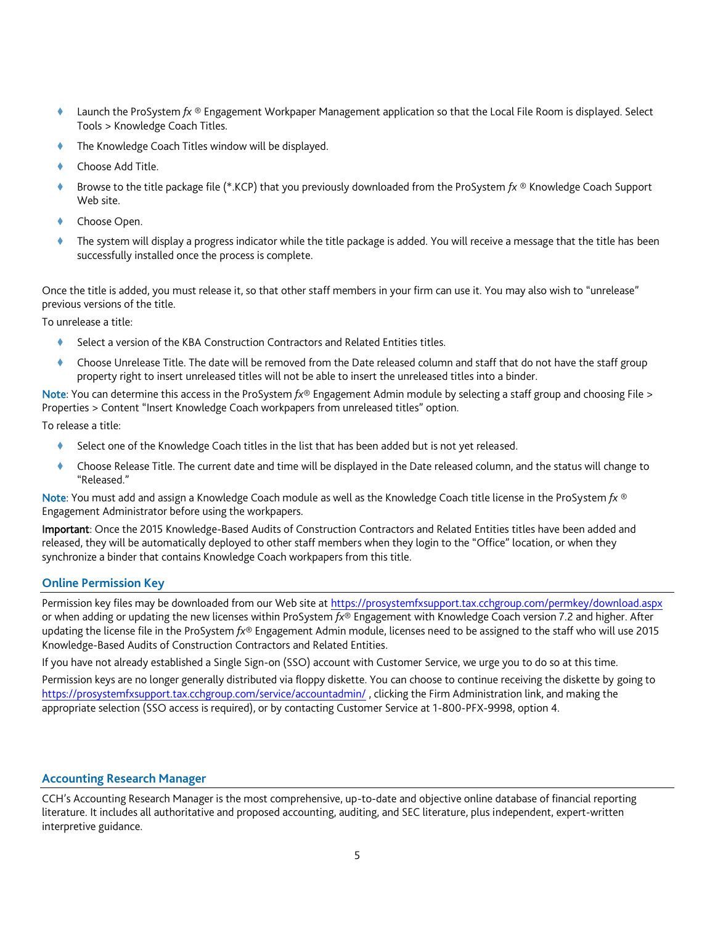- Launch the ProSystem *fx* ® Engagement Workpaper Management application so that the Local File Room is displayed. Select Tools > Knowledge Coach Titles.
- The Knowledge Coach Titles window will be displayed.
- Choose Add Title.
- Browse to the title package file (\*.KCP) that you previously downloaded from the ProSystem *fx* ® Knowledge Coach Support Web site.
- Choose Open.
- The system will display a progress indicator while the title package is added. You will receive a message that the title has been successfully installed once the process is complete.

Once the title is added, you must release it, so that other staff members in your firm can use it. You may also wish to "unrelease" previous versions of the title.

To unrelease a title:

- Select a version of the KBA Construction Contractors and Related Entities titles.
- Choose Unrelease Title. The date will be removed from the Date released column and staff that do not have the staff group property right to insert unreleased titles will not be able to insert the unreleased titles into a binder.

Note: You can determine this access in the ProSystem *fx*® Engagement Admin module by selecting a staff group and choosing File > Properties > Content "Insert Knowledge Coach workpapers from unreleased titles" option.

To release a title:

- Select one of the Knowledge Coach titles in the list that has been added but is not yet released.
- Choose Release Title. The current date and time will be displayed in the Date released column, and the status will change to "Released."

Note: You must add and assign a Knowledge Coach module as well as the Knowledge Coach title license in the ProSystem *fx* ® Engagement Administrator before using the workpapers.

Important: Once the 2015 Knowledge-Based Audits of Construction Contractors and Related Entities titles have been added and released, they will be automatically deployed to other staff members when they login to the "Office" location, or when they synchronize a binder that contains Knowledge Coach workpapers from this title.

## **Online Permission Key**

Permission key files may be downloaded from our Web site a[t https://prosystemfxsupport.tax.cchgroup.com/permkey/download.aspx](https://prosystemfxsupport.tax.cchgroup.com/permkey/download.aspx)  or when adding or updating the new licenses within ProSystem *fx*® Engagement with Knowledge Coach version 7.2 and higher. After updating the license file in the ProSystem *fx*® Engagement Admin module, licenses need to be assigned to the staff who will use 2015 Knowledge-Based Audits of Construction Contractors and Related Entities.

If you have not already established a Single Sign-on (SSO) account with Customer Service, we urge you to do so at this time.

Permission keys are no longer generally distributed via floppy diskette. You can choose to continue receiving the diskette by going to <https://prosystemfxsupport.tax.cchgroup.com/service/accountadmin/> , clicking the Firm Administration link, and making the appropriate selection (SSO access is required), or by contacting Customer Service at 1-800-PFX-9998, option 4.

## **Accounting Research Manager**

CCH's Accounting Research Manager is the most comprehensive, up-to-date and objective online database of financial reporting literature. It includes all authoritative and proposed accounting, auditing, and SEC literature, plus independent, expert-written interpretive guidance.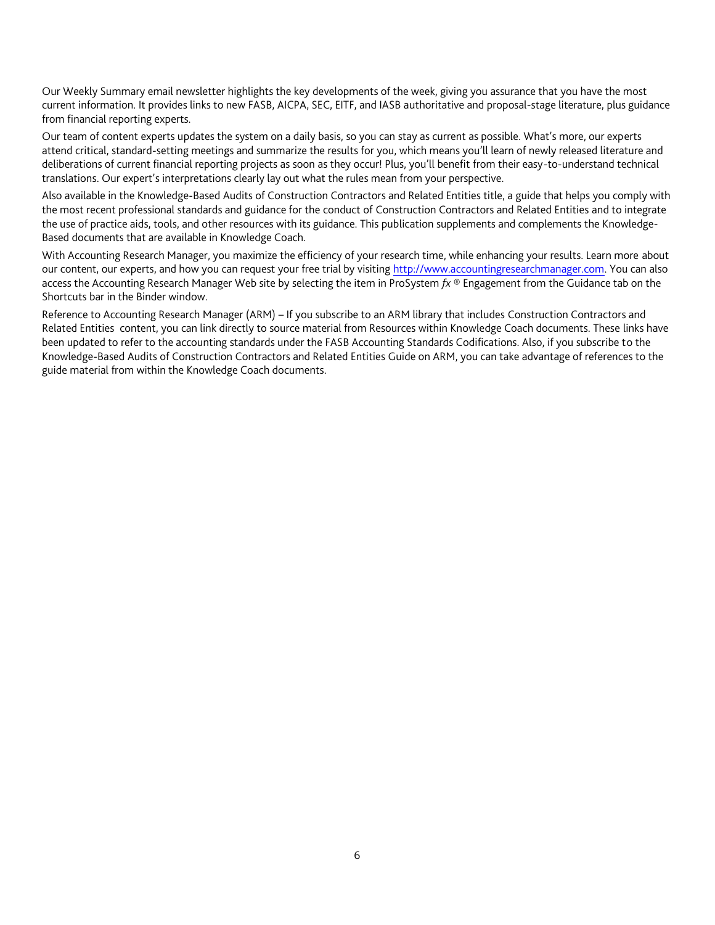Our Weekly Summary email newsletter highlights the key developments of the week, giving you assurance that you have the most current information. It provides links to new FASB, AICPA, SEC, EITF, and IASB authoritative and proposal-stage literature, plus guidance from financial reporting experts.

Our team of content experts updates the system on a daily basis, so you can stay as current as possible. What's more, our experts attend critical, standard-setting meetings and summarize the results for you, which means you'll learn of newly released literature and deliberations of current financial reporting projects as soon as they occur! Plus, you'll benefit from their easy-to-understand technical translations. Our expert's interpretations clearly lay out what the rules mean from your perspective.

Also available in the Knowledge-Based Audits of Construction Contractors and Related Entities title, a guide that helps you comply with the most recent professional standards and guidance for the conduct of Construction Contractors and Related Entities and to integrate the use of practice aids, tools, and other resources with its guidance. This publication supplements and complements the Knowledge-Based documents that are available in Knowledge Coach.

With Accounting Research Manager, you maximize the efficiency of your research time, while enhancing your results. Learn more about our content, our experts, and how you can request your free trial by visiting [http://www.accountingresearchmanager.com.](http://www.accountingresearchmanager.com/) You can also access the Accounting Research Manager Web site by selecting the item in ProSystem *fx* ® Engagement from the Guidance tab on the Shortcuts bar in the Binder window.

Reference to Accounting Research Manager (ARM) – If you subscribe to an ARM library that includes Construction Contractors and Related Entities content, you can link directly to source material from Resources within Knowledge Coach documents. These links have been updated to refer to the accounting standards under the FASB Accounting Standards Codifications. Also, if you subscribe to the Knowledge-Based Audits of Construction Contractors and Related Entities Guide on ARM, you can take advantage of references to the guide material from within the Knowledge Coach documents.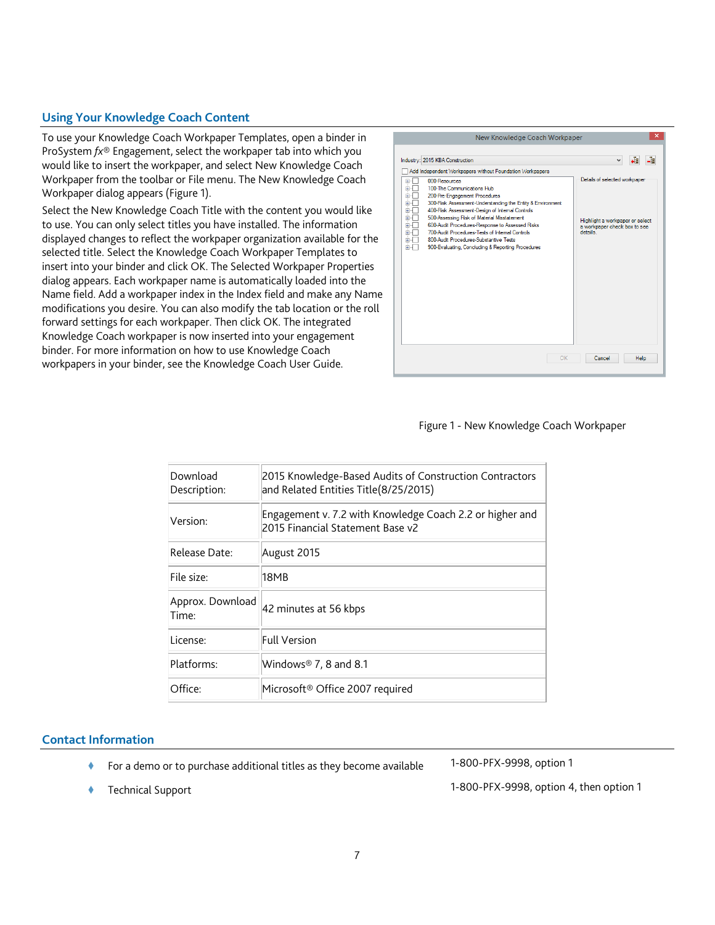## **Using Your Knowledge Coach Content**

To use your Knowledge Coach Workpaper Templates, open a binder in ProSystem *fx*® Engagement, select the workpaper tab into which you would like to insert the workpaper, and select New Knowledge Coach Workpaper from the toolbar or File menu. The New Knowledge Coach Workpaper dialog appears (Figure 1).

Select the New Knowledge Coach Title with the content you would like to use. You can only select titles you have installed. The information displayed changes to reflect the workpaper organization available for the selected title. Select the Knowledge Coach Workpaper Templates to insert into your binder and click OK. The Selected Workpaper Properties dialog appears. Each workpaper name is automatically loaded into the Name field. Add a workpaper index in the Index field and make any Name modifications you desire. You can also modify the tab location or the roll forward settings for each workpaper. Then click OK. The integrated Knowledge Coach workpaper is now inserted into your engagement binder. For more information on how to use Knowledge Coach workpapers in your binder, see the Knowledge Coach User Guide.



#### Figure 1 - New Knowledge Coach Workpaper

| Download<br>Description:  | 2015 Knowledge-Based Audits of Construction Contractors<br>and Related Entities Title(8/25/2015) |
|---------------------------|--------------------------------------------------------------------------------------------------|
| Version:                  | Engagement v. 7.2 with Knowledge Coach 2.2 or higher and<br>2015 Financial Statement Base v2     |
| Release Date:             | August 2015                                                                                      |
| File size:                | 18MB                                                                                             |
| Approx. Download<br>Time: | 42 minutes at 56 kbps                                                                            |
| License:                  | <b>Full Version</b>                                                                              |
| Platforms:                | Windows® 7, 8 and 8.1                                                                            |
| Office:                   | Microsoft® Office 2007 required                                                                  |

#### **Contact Information**

- ◆ For a demo or to purchase additional titles as they become available 1-800-PFX-9998, option 1
	-

Technical Support 1-800-PFX-9998, option 4, then option 1